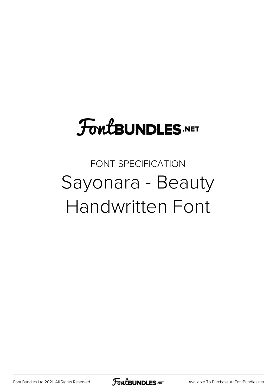## **FoutBUNDLES.NET**

## FONT SPECIFICATION Sayonara - Beauty Handwritten Font

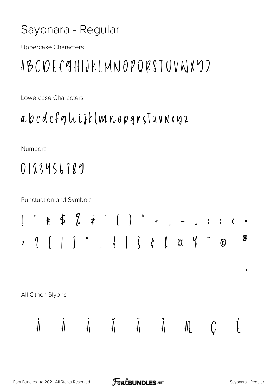## Sayonara - Regular

**Uppercase Characters** 

## ABCDEF9HIJKLMNOPORSTUVNXY2

Lowercase Characters

a b c d e f g h i j k (m n o p q r s T u v n x y z

**Numbers** 

0123456789

**Punctuation and Symbols** 

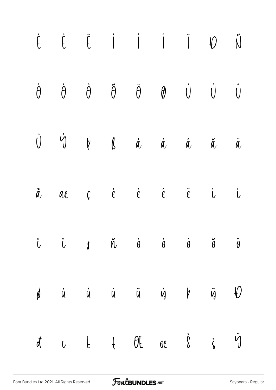| $\begin{array}{ccccccccccccccccc} \dot{L} & \dot{L} & \dot{L} & \dot{L} & \dot{I} & \dot{I} & \dot{I} & \dot{I} & \dot{I} & \dot{I} & \dot{I} & \dot{I} & \dot{I} & \dot{I} & \dot{I} & \dot{I} & \dot{I} & \dot{I} & \dot{I} & \dot{I} & \dot{I} & \dot{I} & \dot{I} & \dot{I} & \dot{I} & \dot{I} & \dot{I} & \dot{I} & \dot{I} & \dot{I} & \dot{I} & \dot{I} & \dot{I} & \dot{I} & \dot{I}$            |  |  |  |  |
|-----------------------------------------------------------------------------------------------------------------------------------------------------------------------------------------------------------------------------------------------------------------------------------------------------------------------------------------------------------------------------------------------------------|--|--|--|--|
| $\dot{\theta} \qquad \dot{\theta} \qquad \dot{\theta} \qquad \ddot{\theta} \qquad \ddot{\theta} \qquad \theta \qquad \dot{\theta} \qquad \dot{\theta} \qquad \dot{\theta}$                                                                                                                                                                                                                                |  |  |  |  |
| $\begin{array}{ccccccccccccccccc} \tilde{U} && \acute{U} && \psi && \eta && \eta && \dot{\alpha} && \dot{\alpha} && \dot{\alpha} && \ddot{\alpha} && \dot{\alpha} \end{array}$                                                                                                                                                                                                                            |  |  |  |  |
| $\mathring{a}$ ae $\zeta$ è $\overset{\cdot}{e}$ $\overset{\cdot}{e}$ $\overset{\cdot}{e}$ $\overset{\cdot}{e}$ $\overset{\cdot}{e}$ $\overset{\cdot}{e}$                                                                                                                                                                                                                                                 |  |  |  |  |
| $\dot{\mathcal{L}}$ $\ddot{\mathcal{L}}$ $\dot{\mathcal{L}}$ $\ddot{\mathcal{R}}$ $\ddot{\mathcal{R}}$ $\dot{\mathcal{C}}$ $\dot{\mathcal{C}}$ $\dot{\mathcal{C}}$ $\ddot{\mathcal{C}}$ $\ddot{\mathcal{C}}$ $\ddot{\mathcal{C}}$ $\ddot{\mathcal{C}}$ $\ddot{\mathcal{C}}$ $\ddot{\mathcal{C}}$ $\ddot{\mathcal{C}}$ $\ddot{\mathcal{C}}$ $\ddot{\mathcal{C}}$ $\ddot{\mathcal{C}}$ $\ddot{\mathcal{C}}$ |  |  |  |  |
| $\phi$ ù $\dot{u}$ û $\ddot{u}$ $\dot{u}$ $\dot{y}$ $\ddot{y}$ $\ddot{y}$                                                                                                                                                                                                                                                                                                                                 |  |  |  |  |
| d u t t Ot oe s is in                                                                                                                                                                                                                                                                                                                                                                                     |  |  |  |  |